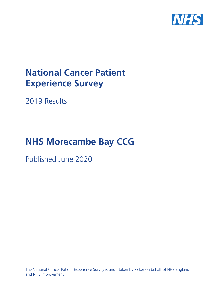

# **National Cancer Patient Experience Survey**

2019 Results

# **NHS Morecambe Bay CCG**

Published June 2020

The National Cancer Patient Experience Survey is undertaken by Picker on behalf of NHS England and NHS Improvement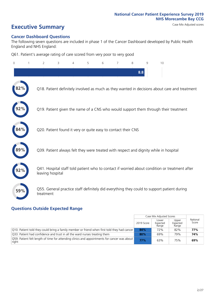# **Executive Summary** Case Mix Adjusted scores

#### **Cancer Dashboard Questions**

The following seven questions are included in phase 1 of the Cancer Dashboard developed by Public Health England and NHS England:

Q61. Patient's average rating of care scored from very poor to very good

| $\overline{0}$ | $\overline{2}$   | 3                                                             | 4 | 5 | 6 | 7 | 8   | 9 | 10                                                                                            |
|----------------|------------------|---------------------------------------------------------------|---|---|---|---|-----|---|-----------------------------------------------------------------------------------------------|
|                |                  |                                                               |   |   |   |   | 8.8 |   |                                                                                               |
| 2%             |                  |                                                               |   |   |   |   |     |   | Q18. Patient definitely involved as much as they wanted in decisions about care and treatment |
|                |                  |                                                               |   |   |   |   |     |   | Q19. Patient given the name of a CNS who would support them through their treatment           |
| 84%            |                  | Q20. Patient found it very or quite easy to contact their CNS |   |   |   |   |     |   |                                                                                               |
|                |                  |                                                               |   |   |   |   |     |   | Q39. Patient always felt they were treated with respect and dignity while in hospital         |
|                | leaving hospital |                                                               |   |   |   |   |     |   | Q41. Hospital staff told patient who to contact if worried about condition or treatment after |
| 59%            | treatment        |                                                               |   |   |   |   |     |   | Q55. General practice staff definitely did everything they could to support patient during    |

### **Questions Outside Expected Range**

|                                                                                                       |            | Case Mix Adjusted Scores   |                            |                   |
|-------------------------------------------------------------------------------------------------------|------------|----------------------------|----------------------------|-------------------|
|                                                                                                       | 2019 Score | Lower<br>Expected<br>Range | Upper<br>Expected<br>Range | National<br>Score |
| $\vert$ Q10. Patient told they could bring a family member or friend when first told they had cancer  | 84%        | 72%                        | 82%                        | 77%               |
| Q33. Patient had confidence and trust in all the ward nurses treating them                            | 80%        | 69%                        | 79%                        | 74%               |
| Q59. Patient felt length of time for attending clinics and appointments for cancer was about<br>right | 77%        | 63%                        | 75%                        | 69%               |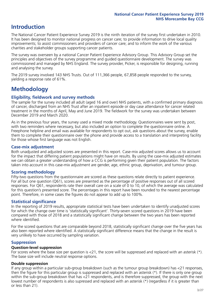# **Introduction**

The National Cancer Patient Experience Survey 2019 is the ninth iteration of the survey first undertaken in 2010. It has been designed to monitor national progress on cancer care; to provide information to drive local quality improvements; to assist commissioners and providers of cancer care; and to inform the work of the various charities and stakeholder groups supporting cancer patients.

The survey was overseen by a national Cancer Patient Experience Advisory Group. This Advisory Group set the principles and objectives of the survey programme and guided questionnaire development. The survey was commissioned and managed by NHS England. The survey provider, Picker, is responsible for designing, running and analysing the survey.

The 2019 survey involved 143 NHS Trusts. Out of 111,366 people, 67,858 people responded to the survey, yielding a response rate of 61%.

# **Methodology**

#### **Eligibility, eldwork and survey methods**

The sample for the survey included all adult (aged 16 and over) NHS patients, with a confirmed primary diagnosis of cancer, discharged from an NHS Trust after an inpatient episode or day case attendance for cancer related treatment in the months of April, May and June 2019. The fieldwork for the survey was undertaken between December 2019 and March 2020.

As in the previous four years, the survey used a mixed mode methodology. Questionnaires were sent by post, with two reminders where necessary, but also included an option to complete the questionnaire online. A Freephone helpline and email was available for respondents to opt out, ask questions about the survey, enable them to complete their questionnaire over the phone and provide access to a translation and interpreting facility for those whose first language was not English.

#### **Case-mix adjustment**

Both unadjusted and adjusted scores are presented in this report. Case-mix adjusted scores allows us to account for the impact that differing patient populations might have on results. By using the case-mix adjusted estimates we can obtain a greater understanding of how a CCG is performing given their patient population. The factors taken into account in this case-mix adjustment are gender, age, ethnic group, deprivation, and tumour group.

#### **Scoring methodology**

Fifty-two questions from the questionnaire are scored as these questions relate directly to patient experience. For all but one question (Q61), scores are presented as the percentage of positive responses out of all scored responses. For Q61, respondents rate their overall care on a scale of 0 to 10, of which the average was calculated for this question's presented score. The percentages in this report have been rounded to the nearest percentage point. Therefore, in some cases the figures do not appear to add up to 100%.

#### **Statistical significance**

In the reporting of 2019 results, appropriate statistical tests have been undertaken to identify unadjusted scores for which the change over time is 'statistically significant'. Thirty-seven scored questions in 2019 have been compared with those of 2018 and a statistically significant change between the two years has been reported where identified.

For the scored questions that are comparable beyond 2018, statistically significant change over the five years has also been reported where identified. A statistically significant difference means that the change in the result is very unlikely to have occurred by sampling variation.

#### **Suppression**

#### **Question-level suppression**

For scores where the base size per question is  $<$ 21, the score will be suppressed and replaced with an asterisk (\*). The base size will include neutral response options.

#### **Double suppression**

If any group within a particular sub-group breakdown (such as the tumour group breakdown) has <21 responses, then the figure for this particular group is suppressed and replaced with an asterisk (\*). If there is only one group within the sub-group breakdown that has <21 respondents, and is therefore suppressed, the group with the next lowest number of respondents is also supressed and replaced with an asterisk (\*) (regardless if it is greater than or less than 21).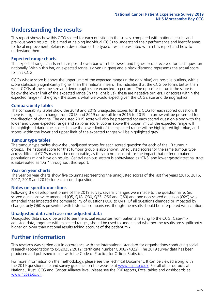# **Understanding the results**

This report shows how this CCG scored for each question in the survey, compared with national results and previous year's results. It is aimed at helping individual CCGs to understand their performance and identify areas for local improvement. Below is a description of the type of results presented within this report and how to understand them.

#### **Expected range charts**

The expected range charts in this report show a bar with the lowest and highest score received for each question nationally. Within this bar, an expected range is given (in grey) and a black diamond represents the actual score for this CCG.

CCGs whose score is above the upper limit of the expected range (in the dark blue) are positive outliers, with a score statistically significantly higher than the national mean. This indicates that the CCG performs better than what CCGs of the same size and demographics are expected to perform. The opposite is true if the score is below the lower limit of the expected range (in the light blue); these are negative outliers. For scores within the expected range (in the grey), the score is what we would expect given the CCG's size and demographics.

#### **Comparability tables**

The comparability tables show the 2018 and 2019 unadjusted scores for this CCG for each scored question. If there is a significant change from 2018 and 2019 or overall from 2015 to 2019, an arrow will be presented for the direction of change. The adjusted 2019 score will also be presented for each scored question along with the lower and upper expected range and national score. Scores above the upper limit of the expected range will be highlighted dark blue, scores below the lower limit of the expected range will be highlighted light blue, and scores within the lower and upper limit of the expected ranges will be highlighted grey.

#### **Tumour type tables**

The tumour type tables show the unadjusted scores for each scored question for each of the 13 tumour groups. The national score for that tumour group is also shown. Unadjusted scores for the same tumour type across different CCGs may not be comparable, as they do not account for the impact that differing patient populations might have on results. Central nervous system is abbreviated as 'CNS' and lower gastrointestinal tract is abbreviated as 'LGT' throughout this report.

#### **Year on year charts**

The year on year charts show five columns representing the unadjusted scores of the last five years (2015, 2016, 2017, 2018 and 2019) for each scored question.

#### **Notes on specific questions**

Following the development phase of the 2019 survey, several changes were made to the questionnaire. Six scored questions were amended (Q5, Q18, Q30, Q35, Q56 and Q60) and one non-scored question (Q29) was amended that impacted the comparability of questions Q30 to Q41. Of all questions changed or impacted by change, only Q60 is presented with historical comparisons; though the results should be interpreted with caution.

#### **Unadjusted data and case-mix adjusted data**

Unadjusted data should be used to see the actual responses from patients relating to the CCG. Case-mix adjusted data, together with expected ranges, should be used to understand whether the results are significantly higher or lower than national results taking account of the patient mix.

## **Further information**

This research was carried out in accordance with the international standard for organisations conducting social research (accreditation to ISO20252:2012; certificate number GB08/74322). The 2019 survey data has been produced and published in line with the Code of Practice for Official Statistics.

For more information on the methodology, please see the Technical Document. It can be viewed along with the 2019 questionnaire and survey quidance on the website at [www.ncpes.co.uk](https://www.ncpes.co.uk/supporting-documents). For all other outputs at National, Trust, CCG and Cancer Alliance level, please see the PDF reports, Excel tables and dashboards at [www.ncpes.co.uk.](https://www.ncpes.co.uk/current-results)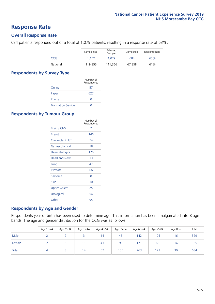### **Response Rate**

#### **Overall Response Rate**

684 patients responded out of a total of 1,079 patients, resulting in a response rate of 63%.

|          | Sample Size | Adjusted<br>Sample | Completed | Response Rate |
|----------|-------------|--------------------|-----------|---------------|
| CCG      | 1.152       | 1.079              | 684       | 63%           |
| National | 119,855     | 111.366            | 67.858    | 61%           |

#### **Respondents by Survey Type**

|                            | Number of<br>Respondents |
|----------------------------|--------------------------|
| Online                     | 57                       |
| Paper                      | 627                      |
| Phone                      |                          |
| <b>Translation Service</b> |                          |

#### **Respondents by Tumour Group**

|                      | Number of<br>Respondents |
|----------------------|--------------------------|
| <b>Brain / CNS</b>   | $\mathcal{P}$            |
| <b>Breast</b>        | 146                      |
| Colorectal / LGT     | 74                       |
| Gynaecological       | 18                       |
| Haematological       | 126                      |
| <b>Head and Neck</b> | 13                       |
| Lung                 | 47                       |
| Prostate             | 66                       |
| Sarcoma              | 8                        |
| Skin                 | 10                       |
| <b>Upper Gastro</b>  | 25                       |
| Urological           | 54                       |
| Other                | 95                       |

#### **Respondents by Age and Gender**

Respondents year of birth has been used to determine age. This information has been amalgamated into 8 age bands. The age and gender distribution for the CCG was as follows:

|        | Age 16-24 | Age 25-34 | Age 35-44 | Age 45-54 | Age 55-64 | Age 65-74 | Age 75-84 | Age 85+ | Total |
|--------|-----------|-----------|-----------|-----------|-----------|-----------|-----------|---------|-------|
| Male   |           |           |           | 14        | 45        | 142       | 105       | 16      | 329   |
| Female |           | ь         |           | 43        | 90        | 121       | 68        | 14      | 355   |
| Total  | $\Delta$  |           | 14        | 57        | 135       | 263       | 173       | 30      | 684   |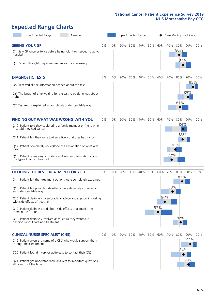# **Expected Range Charts**

| Lower Expected Range                                                                                    | Average |    |     |     |     | Upper Expected Range |     |     | Case Mix Adjusted Score |                        |     |          |
|---------------------------------------------------------------------------------------------------------|---------|----|-----|-----|-----|----------------------|-----|-----|-------------------------|------------------------|-----|----------|
| <b>SEEING YOUR GP</b>                                                                                   |         | 0% | 10% | 20% | 30% | 40%                  | 50% | 60% | 70%                     | 80%                    |     | 90% 100% |
| Q1. Saw GP once or twice before being told they needed to go to<br>hospital                             |         |    |     |     |     |                      |     |     |                         | 80%                    |     |          |
| Q2. Patient thought they were seen as soon as necessary                                                 |         |    |     |     |     |                      |     |     |                         | 84%                    |     |          |
| <b>DIAGNOSTIC TESTS</b>                                                                                 |         | 0% | 10% | 20% | 30% | 40%                  | 50% | 60% | 70%                     | 80%                    |     | 90% 100% |
| O5. Received all the information needed about the test                                                  |         |    |     |     |     |                      |     |     |                         |                        |     | 95%      |
| Q6. The length of time waiting for the test to be done was about<br>right                               |         |    |     |     |     |                      |     |     |                         |                        | 89% |          |
| Q7. Test results explained in completely understandable way                                             |         |    |     |     |     |                      |     |     |                         | 81%                    |     |          |
| <b>FINDING OUT WHAT WAS WRONG WITH YOU</b>                                                              |         | 0% | 10% | 20% | 30% | 40%                  | 50% | 60% | 70%                     | 80%                    |     | 90% 100% |
| Q10. Patient told they could bring a family member or friend when<br>first told they had cancer         |         |    |     |     |     |                      |     |     |                         | 84%<br>$ \diamondsuit$ |     |          |
| Q11. Patient felt they were told sensitively that they had cancer                                       |         |    |     |     |     |                      |     |     |                         | 83%                    |     |          |
| Q12. Patient completely understood the explanation of what was<br>wrong                                 |         |    |     |     |     |                      |     |     |                         | 76%                    |     |          |
| Q13. Patient given easy to understand written information about<br>the type of cancer they had          |         |    |     |     |     |                      |     |     | 72%                     |                        |     |          |
| <b>DECIDING THE BEST TREATMENT FOR YOU</b>                                                              |         | 0% | 10% | 20% | 30% | 40%                  | 50% | 60% | 70%                     | 80%                    |     | 90% 100% |
| Q14. Patient felt that treatment options were completely explained                                      |         |    |     |     |     |                      |     |     |                         | 83%                    |     |          |
| Q15. Patient felt possible side effects were definitely explained in<br>an understandable way           |         |    |     |     |     |                      |     |     | 73%                     |                        |     |          |
| Q16. Patient definitely given practical advice and support in dealing<br>with side effects of treatment |         |    |     |     |     |                      |     | 64% |                         |                        |     |          |
| Q17. Patient definitely told about side effects that could affect<br>them in the future                 |         |    |     |     |     |                      |     | 57% |                         |                        |     |          |
| Q18. Patient definitely involved as much as they wanted in<br>decisions about care and treatment        |         |    |     |     |     |                      |     |     |                         | 82%                    |     |          |
| <b>CLINICAL NURSE SPECIALIST (CNS)</b>                                                                  |         | 0% | 10% | 20% | 30% | 40%                  | 50% | 60% | 70%                     | 80%                    |     | 90% 100% |
| Q19. Patient given the name of a CNS who would support them<br>through their treatment                  |         |    |     |     |     |                      |     |     |                         |                        | 92% |          |
| Q20. Patient found it very or quite easy to contact their CNS                                           |         |    |     |     |     |                      |     |     |                         | 84%                    |     |          |
| Q21. Patient got understandable answers to important questions<br>all or most of the time               |         |    |     |     |     |                      |     |     |                         |                        | 90% |          |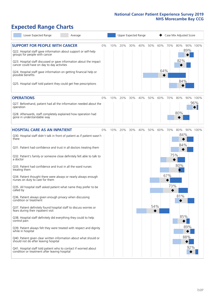# **Expected Range Charts**

| Lower Expected Range<br>Average                                                                                                                                                                                                                                                                                                    |    |     |     |     | Upper Expected Range |     |            |     | Case Mix Adjusted Score |                 |
|------------------------------------------------------------------------------------------------------------------------------------------------------------------------------------------------------------------------------------------------------------------------------------------------------------------------------------|----|-----|-----|-----|----------------------|-----|------------|-----|-------------------------|-----------------|
| <b>SUPPORT FOR PEOPLE WITH CANCER</b><br>Q22. Hospital staff gave information about support or self-help<br>groups for people with cancer<br>Q23. Hospital staff discussed or gave information about the impact<br>cancer could have on day to day activities<br>Q24. Hospital staff gave information on getting financial help or | 0% | 10% | 20% | 30% | 40%                  | 50% | 60%<br>64% | 70% | 80%<br>89%<br>82%       | 90% 100%        |
| possible benefits<br>Q25. Hospital staff told patient they could get free prescriptions                                                                                                                                                                                                                                            |    |     |     |     |                      |     |            |     | 84%                     |                 |
| <b>OPERATIONS</b>                                                                                                                                                                                                                                                                                                                  | 0% | 10% | 20% | 30% | 40%                  | 50% | 60%        | 70% | 80%                     | 90% 100%<br>96% |
| Q27. Beforehand, patient had all the information needed about the<br>operation<br>Q28. Afterwards, staff completely explained how operation had<br>gone in understandable way                                                                                                                                                      |    |     |     |     |                      |     |            |     | 80%                     |                 |
| <b>HOSPITAL CARE AS AN INPATIENT</b>                                                                                                                                                                                                                                                                                               | 0% | 10% | 20% | 30% | 40%                  | 50% | 60%        | 70% | 80%                     | 90% 100%        |
| Q30. Hospital staff didn't talk in front of patient as if patient wasn't<br>there<br>Q31. Patient had confidence and trust in all doctors treating them                                                                                                                                                                            |    |     |     |     |                      |     |            |     | 84%<br>84%              |                 |
| Q32. Patient's family or someone close definitely felt able to talk to<br>a doctor                                                                                                                                                                                                                                                 |    |     |     |     |                      |     |            | 75% |                         |                 |
| Q33. Patient had confidence and trust in all the ward nurses<br>treating them                                                                                                                                                                                                                                                      |    |     |     |     |                      |     |            |     | 80%                     |                 |
| Q34. Patient thought there were always or nearly always enough<br>nurses on duty to care for them                                                                                                                                                                                                                                  |    |     |     |     |                      |     |            | 67% |                         |                 |
| Q35. All hospital staff asked patient what name they prefer to be<br>called by                                                                                                                                                                                                                                                     |    |     |     |     |                      |     |            | 73% |                         |                 |
| Q36. Patient always given enough privacy when discussing<br>condition or treatment                                                                                                                                                                                                                                                 |    |     |     |     |                      |     |            |     | 81%                     |                 |
| Q37. Patient definitely found hospital staff to discuss worries or<br>fears during their inpatient visit                                                                                                                                                                                                                           |    |     |     |     |                      | 54% |            |     |                         |                 |
| Q38. Hospital staff definitely did everything they could to help<br>control pain                                                                                                                                                                                                                                                   |    |     |     |     |                      |     |            |     | 85%                     |                 |
| Q39. Patient always felt they were treated with respect and dignity<br>while in hospital                                                                                                                                                                                                                                           |    |     |     |     |                      |     |            |     | 89%                     |                 |
| Q40. Patient given clear written information about what should or<br>should not do after leaving hospital                                                                                                                                                                                                                          |    |     |     |     |                      |     |            |     | 88%                     |                 |
| Q41. Hospital staff told patient who to contact if worried about<br>condition or treatment after leaving hospital                                                                                                                                                                                                                  |    |     |     |     |                      |     |            |     |                         | 92%             |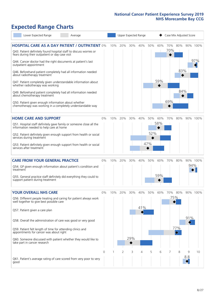# **Expected Range Charts**

| Lower Expected Range<br>Average                                                                                                                                                |       |     | Upper Expected Range |     |     |     |     | Case Mix Adjusted Score |     |          |          |
|--------------------------------------------------------------------------------------------------------------------------------------------------------------------------------|-------|-----|----------------------|-----|-----|-----|-----|-------------------------|-----|----------|----------|
| <b>HOSPITAL CARE AS A DAY PATIENT / OUTPATIENT 0%</b><br>Q43. Patient definitely found hospital staff to discuss worries or<br>fears during their outpatient or day case visit |       | 10% | 20%                  | 30% | 40% | 50% | 60% | 70%<br>70%              | 80% |          | 90% 100% |
| Q44. Cancer doctor had the right documents at patient's last<br>outpatient appointment                                                                                         |       |     |                      |     |     |     |     |                         |     |          | 97%      |
| Q46. Beforehand patient completely had all information needed<br>about radiotherapy treatment                                                                                  |       |     |                      |     |     |     |     |                         | 83% |          |          |
| Q47. Patient completely given understandable information about<br>whether radiotherapy was working                                                                             |       |     |                      |     |     |     | 59% |                         |     |          |          |
| Q49. Beforehand patient completely had all information needed<br>about chemotherapy treatment                                                                                  |       |     |                      |     |     |     |     |                         | 84% |          |          |
| Q50. Patient given enough information about whether<br>chemotherapy was working in a completely understandable way                                                             |       |     |                      |     |     |     |     | 69%                     |     |          |          |
| <b>HOME CARE AND SUPPORT</b>                                                                                                                                                   | 0%    | 10% | 20%                  | 30% | 40% | 50% | 60% | 70%                     | 80% |          | 90% 100% |
| Q51. Hospital staff definitely gave family or someone close all the<br>information needed to help care at home                                                                 |       |     |                      |     |     |     | 58% |                         |     |          |          |
| Q52. Patient definitely given enough support from health or social<br>services during treatment                                                                                |       |     |                      |     |     | 52% |     |                         |     |          |          |
| Q53. Patient definitely given enough support from health or social<br>services after treatment                                                                                 |       |     |                      |     |     | 47% |     |                         |     |          |          |
| <b>CARE FROM YOUR GENERAL PRACTICE</b>                                                                                                                                         | $0\%$ | 10% | 20%                  | 30% | 40% | 50% | 60% | 70%                     | 80% |          | 90% 100% |
| Q54. GP given enough information about patient's condition and<br>treatment                                                                                                    |       |     |                      |     |     |     |     |                         |     | 94%      |          |
| Q55. General practice staff definitely did everything they could to<br>support patient during treatment                                                                        |       |     |                      |     |     |     | 59% |                         |     |          |          |
| <b>YOUR OVERALL NHS CARE</b>                                                                                                                                                   | 0%    | 10% | 20%                  | 30% | 40% | 50% | 60% | 70%                     | 80% |          | 90% 100% |
| Q56. Different people treating and caring for patient always work<br>well together to give best possible care                                                                  |       |     |                      |     |     |     |     |                         | 75% |          |          |
| Q57. Patient given a care plan                                                                                                                                                 |       |     |                      |     | 41% |     |     |                         |     |          |          |
| Q58. Overall the administration of care was good or very good                                                                                                                  |       |     |                      |     |     |     |     |                         |     | 91%      |          |
| Q59. Patient felt length of time for attending clinics and<br>appointments for cancer was about right                                                                          |       |     |                      |     |     |     |     |                         | 77% |          |          |
| Q60. Someone discussed with patient whether they would like to<br>take part in cancer research                                                                                 |       |     |                      | 29% |     |     |     |                         |     |          |          |
|                                                                                                                                                                                | 0     |     | 2                    | 3   | 4   | 5   | 6   |                         | 8   | 9<br>8.8 | 10       |
| Q61. Patient's average rating of care scored from very poor to very<br>good                                                                                                    |       |     |                      |     |     |     |     |                         |     |          |          |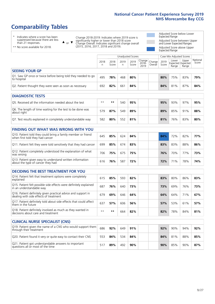# **Comparability Tables**

\* Indicates where a score has been suppressed because there are less than 21 responses.

\*\* No score available for 2018.

 $\triangle$  or  $\nabla$ 

Change 2018-2019: Indicates where 2019 score is significantly higher or lower than 2018 score Change Overall: Indicates significant change overall (2015, 2016, 2017, 2018 and 2019).

Adjusted Score below Lower Expected Range Adjusted Score between Upper and Lower Expected Ranges Adjusted Score above Upper Expected Range

|                                                                             |           |               | Unadjusted Scores |               |                                 |         |               | Case Mix Adjusted Scores                   |                |                   |
|-----------------------------------------------------------------------------|-----------|---------------|-------------------|---------------|---------------------------------|---------|---------------|--------------------------------------------|----------------|-------------------|
|                                                                             | 2018<br>n | 2018<br>Score | 2019<br>n         | 2019<br>Score | Change Change <br>2018-<br>2019 | Overall | 2019<br>Score | Lower<br><b>Expected Expected</b><br>Range | Upper<br>Range | National<br>Score |
| <b>SEEING YOUR GP</b>                                                       |           |               |                   |               |                                 |         |               |                                            |                |                   |
| Q1. Saw GP once or twice before being told they needed to go<br>to hospital | 495       | 78%           | 468               | 80%           |                                 |         | 80%           | 75%                                        | 83%            | 79%               |
| Q2. Patient thought they were seen as soon as necessary                     | 692       | 82%           | 661               | 84%           |                                 |         | 84%           | 81%                                        | 87%            | 84%               |
| <b>DIAGNOSTIC TESTS</b>                                                     |           |               |                   |               |                                 |         |               |                                            |                |                   |
|                                                                             |           |               |                   |               |                                 |         |               |                                            |                |                   |
| Q5. Received all the information needed about the test                      | $***$     | $* *$         | 540               | 95%           |                                 |         | 95%           | 93%                                        | 97%            | 95%               |

| Q6. The length of time waiting for the test to be done was<br>about right | 579 | 87% | 549 | 89% |  | 89% | 85% | 91% | 88% |
|---------------------------------------------------------------------------|-----|-----|-----|-----|--|-----|-----|-----|-----|
| Q7. Test results explained in completely understandable way               | 582 | 80% | 552 | 81% |  | 81% | 76% | 83% | 80% |

| <b>FINDING OUT WHAT WAS WRONG WITH YOU</b>                                                      |     |     |     |     |     |                 |     |     |
|-------------------------------------------------------------------------------------------------|-----|-----|-----|-----|-----|-----------------|-----|-----|
| Q10. Patient told they could bring a family member or friend<br>when first told they had cancer | 645 | 85% | 624 | 84% | 84% | 72%             | 82% | 77% |
| Q11. Patient felt they were told sensitively that they had cancer                               | 699 | 85% | 674 | 83% | 83% | 83%             | 88% | 86% |
| Q12. Patient completely understood the explanation of what<br>was wrong                         | 706 | 75% | 675 | 75% | 76% | 70%             | 77% | 73% |
| Q13. Patient given easy to understand written information<br>about the type of cancer they had  | 616 | 76% | 587 | 72% | 72% | 71 <sub>%</sub> | 78% | 74% |

| <b>DECIDING THE BEST TREATMENT FOR YOU</b>                                                              |      |     |     |     |     |     |     |     |
|---------------------------------------------------------------------------------------------------------|------|-----|-----|-----|-----|-----|-----|-----|
| Q14. Patient felt that treatment options were completely<br>explained                                   | 615  | 85% | 593 | 82% | 83% | 80% | 86% | 83% |
| Q15. Patient felt possible side effects were definitely explained<br>in an understandable way           | 687  | 76% | 640 | 73% | 73% | 69% | 76% | 73% |
| Q16. Patient definitely given practical advice and support in<br>dealing with side effects of treatment | 679  | 69% | 646 | 64% | 64% | 64% | 71% | 67% |
| Q17. Patient definitely told about side effects that could affect<br>them in the future                 | 637  | 57% | 606 | 56% | 57% | 53% | 61% | 57% |
| Q18. Patient definitely involved as much as they wanted in<br>decisions about care and treatment        | $**$ | **  | 664 | 82% | 82% | 78% | 84% | 81% |

| <b>CLINICAL NURSE SPECIALIST (CNS)</b>                                                    |     |     |     |     |     |     |     |     |
|-------------------------------------------------------------------------------------------|-----|-----|-----|-----|-----|-----|-----|-----|
| Q19. Patient given the name of a CNS who would support them<br>through their treatment    | 686 | 92% | 649 | 91% | 92% | 90% | 94% | 92% |
| Q20. Patient found it very or quite easy to contact their CNS                             | 553 | 84% | 534 | 84% | 84% | 81% | 88% | 85% |
| Q21. Patient got understandable answers to important<br>questions all or most of the time | 517 | 89% | 492 | 90% | 90% | 85% | 90% | 87% |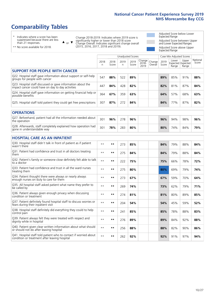# **Comparability Tables**

\* Indicates where a score has been suppressed because there are less than 21 responses.

\*\* No score available for 2018.

 $\triangle$  or  $\nabla$ 

Change 2018-2019: Indicates where 2019 score is significantly higher or lower than 2018 score Change Overall: Indicates significant change overall (2015, 2016, 2017, 2018 and 2019).

Adjusted Score below Lower Expected Range Adjusted Score between Upper and Lower Expected Ranges Adjusted Score above Upper Expected Range

|                                                                                                                   |              |               | Unadjusted Scores |               |                         |                   |               | Case Mix Adjusted Scores |                                     |                   |
|-------------------------------------------------------------------------------------------------------------------|--------------|---------------|-------------------|---------------|-------------------------|-------------------|---------------|--------------------------|-------------------------------------|-------------------|
|                                                                                                                   | 2018<br>n    | 2018<br>Score | 2019<br>n         | 2019<br>Score | Change<br>2018-<br>2019 | Change<br>Overall | 2019<br>Score | Lower<br>Range           | Upper<br>Expected Expected<br>Range | National<br>Score |
| <b>SUPPORT FOR PEOPLE WITH CANCER</b>                                                                             |              |               |                   |               |                         |                   |               |                          |                                     |                   |
| Q22. Hospital staff gave information about support or self-help<br>groups for people with cancer                  | 547          | 88%           | 522               | 89%           |                         |                   | 89%           | 85%                      | 91%                                 | 88%               |
| Q23. Hospital staff discussed or gave information about the<br>impact cancer could have on day to day activities  | 447          | 84%           | 428               | 82%           |                         |                   | 82%           | 81%                      | 87%                                 | 84%               |
| Q24. Hospital staff gave information on getting financial help or<br>possible benefits                            | 364          | 67%           | 359               | 63%           |                         |                   | 64%           | 57%                      | 68%                                 | 63%               |
| Q25. Hospital staff told patient they could get free prescriptions                                                | 307          | 87%           | 272               | 84%           |                         |                   | 84%           | 77%                      | 87%                                 | 82%               |
| <b>OPERATIONS</b>                                                                                                 |              |               |                   |               |                         |                   |               |                          |                                     |                   |
| Q27. Beforehand, patient had all the information needed about<br>the operation                                    | 301          | 96%           | 278               | 96%           |                         |                   | 96%           | 94%                      | 98%                                 | 96%               |
| Q28. Afterwards, staff completely explained how operation had<br>gone in understandable way                       | 301          | 78%           | 283               | 80%           |                         |                   | 80%           | 74%                      | 84%                                 | 79%               |
| <b>HOSPITAL CARE AS AN INPATIENT</b>                                                                              |              |               |                   |               |                         |                   |               |                          |                                     |                   |
| Q30. Hospital staff didn't talk in front of patient as if patient<br>wasn't there                                 | $\star\star$ | $***$         | 273               | 85%           |                         |                   | 84%           | 79%                      | 88%                                 | 84%               |
| Q31. Patient had confidence and trust in all doctors treating<br>them                                             | $* *$        | $***$         | 275               | 84%           |                         |                   | 84%           | 79%                      | 88%                                 | 84%               |
| Q32. Patient's family or someone close definitely felt able to talk<br>to a doctor                                | $* *$        | $***$         | 222               | 75%           |                         |                   | 75%           | 66%                      | 78%                                 | 72%               |
| Q33. Patient had confidence and trust in all the ward nurses<br>treating them                                     | $* *$        | **            | 275               | 80%           |                         |                   | 80%           | 69%                      | 79%                                 | 74%               |
| Q34. Patient thought there were always or nearly always<br>enough nurses on duty to care for them                 | $**$         | $***$         | 273               | 67%           |                         |                   | 67%           | 59%                      | 70%                                 | 64%               |
| Q35. All hospital staff asked patient what name they prefer to<br>be called by                                    | $**$         | $***$         | 269               | 74%           |                         |                   | 73%           | 62%                      | 79%                                 | 71%               |
| Q36. Patient always given enough privacy when discussing<br>condition or treatment                                | $* *$        | $***$         | 274               | 81%           |                         |                   | 81%           | 80%                      | 89%                                 | 85%               |
| Q37. Patient definitely found hospital staff to discuss worries or<br>fears during their inpatient visit          | $* *$        | **            | 204               | 54%           |                         |                   | 54%           | 45%                      | 59%                                 | 52%               |
| Q38. Hospital staff definitely did everything they could to help<br>control pain                                  | $* *$        | $***$         | 241               | 85%           |                         |                   | 85%           | 78%                      | 88%                                 | 83%               |
| Q39. Patient always felt they were treated with respect and<br>dignity while in hospital                          | $\star\star$ | $***$         | 276               | 89%           |                         |                   | 89%           | 84%                      | 92%                                 | 88%               |
| Q40. Patient given clear written information about what should<br>or should not do after leaving hospital         | $**$         | $***$         | 256               | 88%           |                         |                   | 88%           | 82%                      | 90%                                 | 86%               |
| Q41. Hospital staff told patient who to contact if worried about<br>condition or treatment after leaving hospital | $**$         | $***$         | 262               | 92%           |                         |                   | 92%           | 91%                      | 97%                                 | 94%               |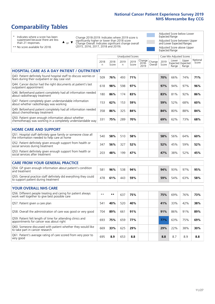# **Comparability Tables**

\* Indicates where a score has been suppressed because there are less than 21 responses.

\*\* No score available for 2018.

or  $\blacktriangledown$  $\blacktriangle$ 

Change 2018-2019: Indicates where 2019 score is significantly higher or lower than 2018 score Change Overall: Indicates significant change overall (2015, 2016, 2017, 2018 and 2019).

Adjusted Score below Lower Expected Range Adjusted Score between Upper and Lower Expected Ranges Adjusted Score above Upper Expected Range

|                                                                                                                       |              |               |            | <b>Unadjusted Scores</b> |                         |                   |               | Case Mix Adjusted Scores |                                     |                   |
|-----------------------------------------------------------------------------------------------------------------------|--------------|---------------|------------|--------------------------|-------------------------|-------------------|---------------|--------------------------|-------------------------------------|-------------------|
|                                                                                                                       | 2018<br>n    | 2018<br>Score | 2019<br>n. | 2019<br>Score            | Change<br>2018-<br>2019 | Change<br>Overall | 2019<br>Score | Lower<br>Range           | Upper<br>Expected Expected<br>Range | National<br>Score |
| <b>HOSPITAL CARE AS A DAY PATIENT / OUTPATIENT</b>                                                                    |              |               |            |                          |                         |                   |               |                          |                                     |                   |
| Q43. Patient definitely found hospital staff to discuss worries or<br>fears during their outpatient or day case visit | 509          | 76%           | 493        | 71%                      |                         |                   | 70%           | 66%                      | 74%                                 | 71%               |
| Q44. Cancer doctor had the right documents at patient's last<br>outpatient appointment                                | 618          | 98%           | 598        | 97%                      |                         |                   | 97%           | 94%                      | 97%                                 | 96%               |
| Q46. Beforehand patient completely had all information needed<br>about radiotherapy treatment                         | 180          | 86%           | 174        | 83%                      |                         |                   | 83%           | 81%                      | 92%                                 | 86%               |
| Q47. Patient completely given understandable information<br>about whether radiotherapy was working                    | 153          | 62%           | 153        | 59%                      |                         |                   | 59%           | 52%                      | 68%                                 | 60%               |
| Q49. Beforehand patient completely had all information needed<br>about chemotherapy treatment                         | 358          | 86%           | 325        | 84%                      |                         |                   | 84%           | 80%                      | 88%                                 | 84%               |
| Q50. Patient given enough information about whether<br>chemotherapy was working in a completely understandable way    | 331          | 75%           | 289        | 70%                      |                         |                   | 69%           | 62%                      | 73%                                 | 68%               |
| <b>HOME CARE AND SUPPORT</b>                                                                                          |              |               |            |                          |                         |                   |               |                          |                                     |                   |
| Q51. Hospital staff definitely gave family or someone close all<br>the information needed to help care at home        | 540          | 58%           | 510        | 58%                      |                         |                   | 58%           | 56%                      | 64%                                 | 60%               |
| Q52. Patient definitely given enough support from health or<br>social services during treatment                       | 347          | 56%           | 327        | 52%                      |                         |                   | 52%           | 45%                      | 59%                                 | 52%               |
| Q53. Patient definitely given enough support from health or<br>social services after treatment                        | 203          | 48%           | 199        | 47%                      |                         |                   | 47%           | 38%                      | 52%                                 | 45%               |
| <b>CARE FROM YOUR GENERAL PRACTICE</b>                                                                                |              |               |            |                          |                         |                   |               |                          |                                     |                   |
| Q54. GP given enough information about patient's condition<br>and treatment                                           | 581          | 96%           | 538        | 94%                      |                         |                   | 94%           | 93%                      | 97%                                 | 95%               |
| Q55. General practice staff definitely did everything they could<br>to support patient during treatment               | 478          | 61%           | 443        | 59%                      |                         |                   | 59%           | 54%                      | 63%                                 | 58%               |
| <b>YOUR OVERALL NHS CARE</b>                                                                                          |              |               |            |                          |                         |                   |               |                          |                                     |                   |
| Q56. Different people treating and caring for patient always                                                          |              |               |            |                          |                         |                   |               |                          |                                     |                   |
| work well together to give best possible care                                                                         | $\star\star$ | **            | 637        | 75%                      |                         |                   | 75%           | 69%                      | 76%                                 | 73%               |
| Q57. Patient given a care plan                                                                                        | 541          | 40%           | 520        | 40%                      |                         |                   | 41%           | 33%                      | 42%                                 | 38%               |
| Q58. Overall the administration of care was good or very good                                                         | 704          | 89%           | 661        | 91%                      |                         |                   | 91%           | 86%                      | 91%                                 | 89%               |
| Q59. Patient felt length of time for attending clinics and<br>appointments for cancer was about right                 | 693          | 75%           | 659        | 77%                      |                         |                   | 77%           | 63%                      | 75%                                 | 69%               |
| Q60. Someone discussed with patient whether they would like<br>to take part in cancer research                        | 669          | 33%           | 625        | 29%                      |                         |                   | 29%           | 22%                      | 38%                                 | 30%               |
| Q61. Patient's average rating of care scored from very poor to<br>very good                                           | 695          | 8.9           | 653        | 8.8                      |                         |                   | 8.8           | 8.7                      | 8.9                                 | 8.8               |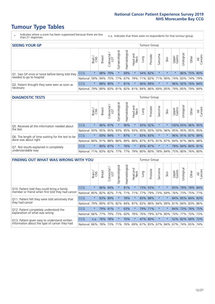- \* Indicates where a score has been suppressed because there are less than 21 responses.
- n.a. Indicates that there were no respondents for that tumour group.

| <b>SEEING YOUR GP</b>                           |            |         |               |             |                   |                |                  |      | Tumour Group |         |         |                 |                                                           |             |                |
|-------------------------------------------------|------------|---------|---------------|-------------|-------------------|----------------|------------------|------|--------------|---------|---------|-----------------|-----------------------------------------------------------|-------------|----------------|
|                                                 |            | Brain   | <b>Breast</b> | Colorectal  | ত<br>Gynaecologic | Haematological | Head and<br>Neck | Lung | Prostate     | Sarcoma | Skin    | Upper<br>Gastro | $\sigma$<br>Jrologica                                     | Other       | All<br>Cancers |
| Q1. Saw GP once or twice before being told they | <b>CCG</b> | $\star$ |               | 98% 79%     |                   | 69%            | $\ast$           |      | 54% 82%      |         | $\star$ |                 |                                                           | 86% 75% 80% |                |
| needed to go to hospital                        | National   | 59%     |               | 94% 75% 77% |                   |                |                  |      |              |         |         |                 | 67%   79%   71%   82%   71%   90%   74%   83%   74%   79% |             |                |
| Q2. Patient thought they were seen as soon as   | <b>CCG</b> | $\star$ |               | 88% 90%     |                   | 81%            | $\star$          |      | 66% 89%      | $\star$ |         |                 | 96% 92% 76% 84%                                           |             |                |
| necessary                                       | National   | 79%     |               | 89% 83%     |                   |                |                  |      |              |         |         |                 | 81% 82% 81% 84% 86% 69% 85% 79% 85% 79%                   |             | 84%            |

#### **DIAGNOSTIC TESTS** Tumour Group

|                                                   |                                                                  | Brain   | <b>Breast</b> | Colorectal  | ᅙ<br>Gynaecologic | Haematological | Head and<br>Neck    | Lung | Prostate | Sarcoma | Skin | Upper<br>Gastro | rological                                                       | Other | All<br>Cancers |
|---------------------------------------------------|------------------------------------------------------------------|---------|---------------|-------------|-------------------|----------------|---------------------|------|----------|---------|------|-----------------|-----------------------------------------------------------------|-------|----------------|
| O5. Received all the information needed about     | CCG                                                              | $\star$ |               | 96% 97%     |                   | 96%            | $\star$             |      | 93% 92%  | $\star$ |      |                 | 100% 93% 96% 95%                                                |       |                |
| the test                                          | National                                                         | 93%     |               | 95% 95%     |                   |                | 93% 95% 93% 95% 95% |      |          | 93%     | 96%  |                 | 95% 95% 95% 95%                                                 |       |                |
| Q6. The length of time waiting for the test to be | <b>CCG</b>                                                       | $\star$ |               | 93% 94%     | $\star$           | 87%            | $\star$             |      | 83% 83%  | $\star$ |      |                 | 96% 91% 87% 89%                                                 |       |                |
| done was about right                              | National                                                         |         |               | 84% 91% 88% |                   |                |                     |      |          |         |      |                 | 86%   89%   88%   87%   87%   81%   87%   84%   87%   86%   88% |       |                |
| Q7. Test results explained in completely          | CCG                                                              | $\star$ |               | 80% 87%     | $\star$           | 76%            | $\star$             |      | 83% 87%  | $\star$ |      |                 | 78% 84% 80% 81%                                                 |       |                |
| understandable way                                | National 71% 83% 82% 77% 77% 79% 80% 80% 78% 84% 75% 80% 76% 80% |         |               |             |                   |                |                     |      |          |         |      |                 |                                                                 |       |                |

| <b>FINDING OUT WHAT WAS WRONG WITH YOU</b>        |            |         |               |                             |                |                    |                  |         | <b>Tumour Group</b> |         |         |                 |            |             |                |
|---------------------------------------------------|------------|---------|---------------|-----------------------------|----------------|--------------------|------------------|---------|---------------------|---------|---------|-----------------|------------|-------------|----------------|
|                                                   |            | Brain   | <b>Breast</b> | olorectal.<br>LGT<br>$\cup$ | Gynaecological | aematological<br>Ĩ | Head and<br>Neck | Lung    | Prostate            | Sarcoma | Skin    | Upper<br>Gastro | Irological | Other       | All<br>Cancers |
| Q10. Patient told they could bring a family       | CCG        | $\star$ | 86%           | 94%                         |                | 81%                | $^\star$         | 73%     | 93%                 | $\ast$  | $\ast$  | 83%             | 79%        | 78%         | 84%            |
| member or friend when first told they had cancer  | National   | 85%     | 82%           | 82%                         | 71%            | 71%                | 71%              | 77%     | 79%                 | 73%     | 69%     | 76%             | 73%        | 75%         | 77%            |
| Q11. Patient felt they were told sensitively that | <b>CCG</b> | $\star$ | 83% 89%       |                             |                | 78%                | $\star$          |         | 83% 88%             | $\ast$  | $\ast$  | 84%             |            | 85% 84% 83% |                |
| they had cancer                                   | National   | 79%     |               | 89% 87% 82%                 |                |                    | 84% 87%          | 83% 86% |                     | 84%     | 89%     |                 |            | 81% 84% 83% | 86%            |
| Q12. Patient completely understood the            | <b>CCG</b> | $\star$ | 79%           | 91%                         |                | 63%                | $\star$          | 79%     | 171%                | $\ast$  | $\star$ | 84%             | 73%        | 78%         | 175%           |
| explanation of what was wrong                     | National   | 66%     | 77%           | 79%                         | 73%            | 60%                | 78%              | 76% 79% |                     | 67%     | 80%     | 70%             | 77%        | 70%         | 73%            |
| Q13. Patient given easy to understand written     | CCG        | n.a.    | 76%           | 78%                         |                | 70%                | $\star$          | 47% 80% |                     | $\ast$  | $\star$ | 52%             | 82%        | 68%         | 72%            |
| information about the type of cancer they had     | National   | $66\%$  | 78%           | 73%                         | 71%            | 76%                | 69%              | 67% 83% |                     |         | 67% 84% | 67%             | 74%        | 65%         | 74%            |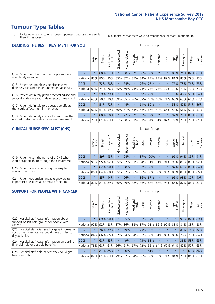\* Indicates where a score has been suppressed because there are less than 21 responses.

n.a. Indicates that there were no respondents for that tumour group.

| <b>DECIDING THE BEST TREATMENT FOR YOU</b>         |            |         |               |                       |                |                |                        |      | <b>Tumour Group</b> |                                     |         |                 |                 |             |                |
|----------------------------------------------------|------------|---------|---------------|-----------------------|----------------|----------------|------------------------|------|---------------------|-------------------------------------|---------|-----------------|-----------------|-------------|----------------|
|                                                    |            | Brain   | <b>Breast</b> | olorectal<br>LGT<br>Ũ | Gynaecological | Haematological | ad and<br>Neck<br>Head | Lung | Prostate            | Sarcoma                             | Skin    | Upper<br>Gastro | Jrological      | Other       | All<br>Cancers |
| Q14. Patient felt that treatment options were      | CCG        | $\star$ | 80%           | 92%                   | $\star$        | 80%            | $\star$                | 88%  | 89%                 | $\star$                             |         | 83%             | 71%             | 82%         | 82%            |
| completely explained                               | National   | 85%     | 85%           | 85%                   | 85%            | 82%            | 87%                    |      | 84% 83%             | 83%                                 | 89%     | 81%             | 83% 79% 83%     |             |                |
| Q15. Patient felt possible side effects were       | <b>CCG</b> | $\star$ | 72%           | 78%                   |                | 64%            | $\star$                |      | 76% 77%             | $^\star$                            |         | 76%             | 73%             | 76% 73%     |                |
| definitely explained in an understandable way      | National   | 69%     | 74%           | 76%                   | 75%            | 69%            | 73%                    |      | 74% 73%             | 73%                                 | 77%     | 72%             | 71%             | 70% 73%     |                |
| Q16. Patient definitely given practical advice and | CCG        | $\star$ | 59%           | 79%                   | $\star$        | 63%            | $\star$                |      | 69% 77%             | $^\star$                            |         |                 | 76% 48% 58% 64% |             |                |
| support in dealing with side effects of treatment  | National   | 63%     | 70%           | 70%                   | 69%            | 65%            | 70%                    |      | 69% 65%             | 66%                                 | 71%     | 66%             | 63% 64% 67%     |             |                |
| Q17. Patient definitely told about side effects    | <b>CCG</b> | $\star$ | 51%           | 72%                   | $\star$        | 44%            | $\star$                |      | 61% 80%             | $\ast$                              | $\star$ |                 | 58% 47% 54% 56% |             |                |
| that could affect them in the future               | National   | 62%     | 57%           | 59%                   | 56%            | 51%            | 64%                    |      | 56% 66%             | 54%                                 | 66%     | 53%             |                 | 56% 52%     | 57%            |
| Q18. Patient definitely involved as much as they   | <b>CCG</b> | $\star$ | 80%           | 90%                   | $\star$        | 72%            | $\star$                |      | 83% 92%             | $\star$                             | $\star$ | 92%             |                 | 75% 83% 82% |                |
| wanted in decisions about care and treatment       | National   | 79%     |               |                       |                |                |                        |      |                     | 81% 83% 81% 80% 81% 81% 84% 81% 87% |         | 79%             |                 | 79% 78% 81% |                |

#### **CLINICAL NURSE SPECIALIST (CNS)** Tumour Group

|                                             |                  | Brain   | <b>Breast</b> | ╮<br>Colorectal<br>LGT | ক<br>aecologic<br>Ğ | ক<br>aematologic<br>Í | Head and<br>Neck | Lung    | Prostate | Sarcoma | Skin                | Upper<br>Gastro | $\overline{\sigma}$<br>rologica | Other                               | All<br>Cancers |
|---------------------------------------------|------------------|---------|---------------|------------------------|---------------------|-----------------------|------------------|---------|----------|---------|---------------------|-----------------|---------------------------------|-------------------------------------|----------------|
| Q19. Patient given the name of a CNS who    | <b>CCG</b>       | $\star$ |               | 89% 93%                |                     | 94%                   | $\star$          |         | 87% 100% | $\ast$  |                     |                 |                                 | 96% 94% 85% 91%                     |                |
| would support them through their treatment  | National         | 95%     | 95%           | 92%                    | 95%                 | 92%                   |                  |         |          |         | 91% 94% 91% 91% 91% | 93%             | 85%                             | 89%                                 | 92%            |
| Q20. Patient found it very or quite easy to | <b>CCG</b>       | $\star$ |               | 82% 90%                |                     | 88%                   | $\ast$           |         | 82% 83%  | $\star$ | $\star$             | 87%             |                                 | 69% 86% 84%                         |                |
| contact their CNS                           | National         |         | 86% 84% 88%   |                        | 85%                 |                       |                  |         |          |         |                     |                 |                                 | 87% 86% 86% 80% 86% 90% 85% 83% 83% | 85%            |
| Q21. Patient got understandable answers to  | CCG              | $\star$ | 85%           | 94%                    |                     | 96%                   | $\star$          | 86% 87% |          | $\star$ | $\star$             |                 | 95% 93%                         | 89%                                 | 90%            |
| important questions all or most of the time | National 82% 87% |         |               | $89\%$                 | 86%                 |                       |                  |         |          |         |                     |                 | 89% 88% 86% 87% 87% 93% 86% 87% | 86%                                 | 87%            |

| <b>SUPPORT FOR PEOPLE WITH CANCER</b>                                                             |            |         |               |                             |                |                |                        |         | <b>Tumour Group</b> |         |         |                 |            |             |                |
|---------------------------------------------------------------------------------------------------|------------|---------|---------------|-----------------------------|----------------|----------------|------------------------|---------|---------------------|---------|---------|-----------------|------------|-------------|----------------|
|                                                                                                   |            | Brain   | <b>Breast</b> | ╮<br>olorectal.<br>LGT<br>Ũ | Gynaecological | Haematological | ad and<br>Neck<br>Head | Lung    | Prostate            | Sarcoma | Skin    | Upper<br>Gastro | Jrological | Other       | All<br>Cancers |
| Q22. Hospital staff gave information about<br>support or self-help groups for people with         | <b>CCG</b> | $\star$ | 89%           | 90%                         | $\star$        | 85%            | $\ast$                 | 83%     | 94%                 | $\star$ | $\star$ | $\star$         | 90%        |             | 87% 89%        |
| cancer                                                                                            | National   | 92%     | 92%           | 88%                         | 87%            | 86%            | 88%                    |         | 87% 91%             | 86%     | 90%     | 88%             | 81%        | 83%         | 88%            |
| Q23. Hospital staff discussed or gave information<br>about the impact cancer could have on day to | <b>CCG</b> | $\star$ | 78%           | 89%                         | $\star$        | 79%            | $\star$                | 75%     | 94%                 | $\star$ | $\star$ | $\star$         | 81%        | 78%         | 82%            |
| day activities                                                                                    | National   | 84%     | 86%           | 85%                         | 82%            | 84%            | 84%                    |         | 83% 88%             | 81%     | 86%     | 83%             | 78%        | 79%         | 84%            |
| Q24. Hospital staff gave information on getting                                                   | CCG        | $\star$ | 68% 53%       |                             | $\star$        | 49%            | $\ast$                 |         | 73% 83%             | $\star$ | $\star$ | $\star$         |            | 38% 53% 63% |                |
| financial help or possible benefits                                                               | National   | 78%     |               | 68% 61%                     | 66%            | 61%            | 67%                    |         | 72% 55%             | 64%     | 60%     | 64%             | 47%        | 59%         | 63%            |
| Q25. Hospital staff told patient they could get                                                   | <b>CCG</b> | $\star$ | 87% 85%       |                             | $\star$        | 90%            | $\star$                | $\star$ | 81%                 | $\star$ | $\star$ | $\star$         | $\star$    |             | 63% 84%        |
| free prescriptions                                                                                | National   | 82%     |               | 81% 83%                     | 79%            |                | 87% 84% 86% 80%        |         |                     | 78%     | 71%     | $ 84\% $        | 73%        | 81%         | 82%            |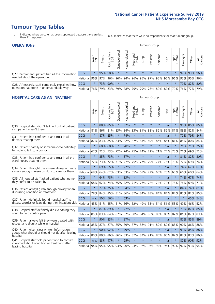- \* Indicates where a score has been suppressed because there are less than 21 responses.
- n.a. Indicates that there were no respondents for that tumour group.

| <b>OPERATIONS</b>                                |                      |              |               |                   |                |                 |                  |         | Tumour Group |         |         |                             |           |                                                 |                |
|--------------------------------------------------|----------------------|--------------|---------------|-------------------|----------------|-----------------|------------------|---------|--------------|---------|---------|-----------------------------|-----------|-------------------------------------------------|----------------|
|                                                  |                      | Brain<br>CNS | <b>Breast</b> | Colorectal<br>LGT | Gynaecological | Haematological  | Head and<br>Neck | Lung    | Prostate     | Sarcoma | Skin    | Upper<br>Gastro             | Urologica | Other                                           | All<br>Cancers |
| Q27. Beforehand, patient had all the information | CCG                  | $\star$      |               | 95% 98%           | $\star$        |                 | $\star$          | $\star$ | $\star$      | $\star$ | $\star$ | $\star$                     |           | 97% 93% 96%                                     |                |
| needed about the operation                       | National 96% 97% 96% |              |               |                   |                |                 |                  |         |              |         |         |                             |           | 96% 94% 96% 95% 97% 95% 96% 96% 95% 95% 95% 96% |                |
| Q28. Afterwards, staff completely explained how  | <b>CCG</b>           | $\star$      |               | 73% 90%           | $\star$        |                 | $\star$          | $\star$ | $\star$      | $\star$ | $\star$ | $\star$                     |           | 79% 82% 80%                                     |                |
| operation had gone in understandable way         | National 76%         |              |               | 79% 83%           |                | 79%   78%   79% |                  |         |              |         |         | 79%   78%   80%   82%   79% |           | 76% 77% 79%                                     |                |

#### **HOSPITAL CARE AS AN INPATIENT** Tumour Group

|                                                                                                  |              | Brain   | <b>Breast</b> | Colorectal /<br>LGT | Gynaecological | Haematological                  | Head and<br>Neck | Lung    | Prostate | Sarcoma | Skin | Upper<br>Gastro | Urological | Other               | All<br>Cancers |
|--------------------------------------------------------------------------------------------------|--------------|---------|---------------|---------------------|----------------|---------------------------------|------------------|---------|----------|---------|------|-----------------|------------|---------------------|----------------|
| Q30. Hospital staff didn't talk in front of patient                                              | CCG          | $\star$ | 88%           | 85%                 | $\star$        | 82%                             | $\star$          | $\star$ | $\star$  | $\star$ | n.a. | $\star$         |            | 90% 85% 85%         |                |
| as if patient wasn't there                                                                       | National     | 81%     | 86%           | 81%                 | 83%            | 84%                             | 83%              | 81%     | 88%      | 86%     | 86%  | 81%             | 83%        | 82%                 | 84%            |
| Q31. Patient had confidence and trust in all                                                     | CCG          | $\star$ | 87% 85%       |                     |                | 74%                             | $\star$          | $\star$ | $\star$  | $\star$ | n.a. |                 |            | 77% 79% 84%         |                |
| doctors treating them                                                                            | National 82% |         |               | 83% 85%             | 83%            | 82%                             |                  | 87% 83% | 89%      | 86%     | 85%  | 81%             | 85%        | 80% 84%             |                |
| Q32. Patient's family or someone close definitely                                                | CCG          | $\star$ | 68%           | 88%                 | $\star$        | 70%                             | $\star$          | $\star$ | $\star$  | $\star$ | n.a. |                 |            | 71% 71%             | 75%            |
| felt able to talk to a doctor                                                                    | National     | 67%     | 72%           | 73%                 | 72%            | 74%                             | 75%              | 74%     | 72%      | 71%     | 74%  | 73%             | 71%        | 69%                 | 72%            |
| Q33. Patient had confidence and trust in all the                                                 | CCG          | $\star$ |               | 85% 73%             | $\star$        | 87%                             | $\star$          | $\star$ | $\star$  | $\star$ | n.a. | $\star$         |            | 81% 82% 80%         |                |
| ward nurses treating them                                                                        | National     | 72%     | 73%           | 72%                 | 71%            | 77%                             |                  | 75% 77% | 79%      | 74%     | 75%  | 73%             | 77%        | 69%                 | 74%            |
| Q34. Patient thought there were always or nearly                                                 | CCG          | $\star$ | 69% 55%       |                     | $\star$        | 72%                             | $\star$          | $\star$ | $\star$  | $\star$ | n.a. | $\star$         | 74%        | 67%                 | 67%            |
| always enough nurses on duty to care for them                                                    | National     | 68%     | 64%           | 62%                 | 63%            | 63%                             | 65%              | 68%     | 72%      | 65%     | 70%  | 65%             | 66%        | 60%                 | 64%            |
| Q35. All hospital staff asked patient what name                                                  | CCG          | $\star$ | 64% 78%       |                     | $\star$        | 83%                             | $\star$          | $\star$ | $\star$  | $\star$ | n.a. |                 |            | 74% 67% 74%         |                |
| they prefer to be called by                                                                      | National     | 68%     | 62%           | 74%                 | 65%            | 72%                             | 71%              | 76%     | 72%      | 74%     | 70%  | 78%             | 76%        | 69% 71%             |                |
| Q36. Patient always given enough privacy when                                                    | CCG          | $\star$ | 77%           | 75%                 | $\star$        | 84%                             | $\star$          | $\star$ | $\star$  | $\star$ | n.a. |                 | 84%        | 74% 81%             |                |
| discussing condition or treatment                                                                | National     | 78%     | 84%           | 85%                 | 81%            | 86%                             |                  | 87% 84% | 88%      | 84%     | 84%  | 84%             | 85%        | 82% 85%             |                |
| Q37. Patient definitely found hospital staff to                                                  | CCG          | n.a.    | 50%           | 56%                 | $\star$        | 63%                             | $\star$          | $\star$ | $\star$  | $\star$ | n.a. |                 | $\star$    | 65%                 | 54%            |
| discuss worries or fears during their inpatient visit                                            | National     | 45%     |               | 51% 55%             | 51%            | 56%                             |                  | 52% 49% | 53%      | 54%     | 51%  | 53%             | 49%        | 46% 52%             |                |
| Q38. Hospital staff definitely did everything they                                               | CCG          | $\star$ | 87% 89%       |                     | $\star$        | 77%                             | $\star$          | $\star$ | $\star$  | $\star$ | n.a. | $\star$         |            | 79% 87%             | 85%            |
| could to help control pain                                                                       | National     | 85%     | 83%           | 84%                 | 82%            | 82%                             | 80%              | 84%     | 85%      | 83%     | 85%  | 82%             | 81%        | 82%                 | 83%            |
| Q39. Patient always felt they were treated with                                                  | CCG          | $\star$ | 90% 83%       |                     | $\star$        | 97%                             | $\star$          | $\star$ | $\star$  | $\star$ | n.a. |                 |            | 87% 85%             | 89%            |
| respect and dignity while in hospital                                                            | National     | 85%     | 87%           | 87%                 | 85%            | 89%                             | 87%              | 88%     | 91%      | 89%     | 89%  | 88%             | 90%        | 86%                 | 88%            |
| Q40. Patient given clear written information<br>about what should or should not do after leaving | CCG          | $\star$ | 90% 92%       |                     |                | 79%                             | $\star$          | $\star$ | $\star$  | $\star$ | n.a. |                 |            | 93% 85% 88%         |                |
| hospital                                                                                         | National     | 80%     | 89%           | 86%                 | 86%            | 83%                             |                  | 87% 82% | 91%      | 85%     | 90%  | 82%             | 87%        | 83% 86%             |                |
| Q41. Hospital staff told patient who to contact<br>if worried about condition or treatment after | CCG          | n.a.    | 88% 97%       |                     | $\star$        | 95%                             | $\star$          | $\star$ | $\star$  | $\star$ | n.a. | $\star$         |            | 87% 90%             | 92%            |
| leaving hospital                                                                                 | National     | 94%     |               |                     |                | 95% 95% 93% 96% 93% 92% 96% 94% |                  |         |          |         |      |                 |            | 95% 92% 92% 93% 94% |                |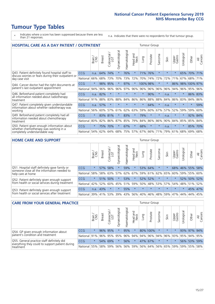- \* Indicates where a score has been suppressed because there are less than 21 responses.
- n.a. Indicates that there were no respondents for that tumour group.

| <b>HOSPITAL CARE AS A DAY PATIENT / OUTPATIENT</b>                                                                    |            |         |               |                          |                |                |                         |          | Tumour Group |         |         |                 |            |              |                |
|-----------------------------------------------------------------------------------------------------------------------|------------|---------|---------------|--------------------------|----------------|----------------|-------------------------|----------|--------------|---------|---------|-----------------|------------|--------------|----------------|
|                                                                                                                       |            | Brain   | <b>Breast</b> | ∽<br>Colorectal /<br>LGT | Gynaecological | Haematological | ead and<br>Neck<br>Head | Lung     | Prostate     | Sarcoma | Skin    | Upper<br>Gastro | Urological | Other        | All<br>Cancers |
| Q43. Patient definitely found hospital staff to                                                                       | <b>CCG</b> | n.a.    | 64%           | 74%                      | $\star$        | 76%            | $\star$                 | 71%      | 76%          | $\star$ | $\star$ | $\star$         | 65%        | 70%          | 71%            |
| discuss worries or fears during their outpatient or<br>day case visit                                                 | National   | 66%     | 68%           | 73%                      | 70%            | 73%            | 72%                     | 70%      | 74%          | 72%     | 72%     | 71%             | 67%        | 68%          | 71%            |
| Q44. Cancer doctor had the right documents at<br>patient's last outpatient appointment                                | CCG        | $\star$ | 98%           | 95%                      | $\star$        | 97%            | $\star$                 | 100% 98% |              | $\ast$  |         | 86%             |            | 98% 100% 97% |                |
|                                                                                                                       | National   | 94%     | 96%           | 96%                      | 96%            | 97%            | 96%                     | 96%      | 96%          | 96%     | 96%     | 94%             | 96%        | 95%          | 96%            |
| Q46. Beforehand patient completely had                                                                                | <b>CCG</b> | n.a.    | 82%           | $\star$                  | $\star$        | $\star$        | $\star$                 | $\star$  | 90%          | $\star$ | n.a.    | $\star$         | $\star$    | 86% 83%      |                |
| all information needed about radiotherapy<br>treatment                                                                | National   | 91%     | 88%           | 83%                      | 88%            | 84%            | 86%                     | 86%      | 88%          | 88%     | 84%     | 86%             | 83%        | 84%          | 86%            |
| Q47. Patient completely given understandable                                                                          | <b>CCG</b> | n.a.    | 57%           | $\star$                  |                |                | $\star$                 | $\star$  | 64%          | $\star$ | n.a.    | $\star$         | $\star$    | $\ast$       | 59%            |
| information about whether radiotherapy was<br>working                                                                 | National   | 56%     | 60%           | 57%                      | 61%            | 62%            | 63%                     | 59%      | 60%          | 67%     | 57%     | 52%             | 59%        | 59%          | 60%            |
| Q49. Beforehand patient completely had all                                                                            | CCG        | $\star$ | 83%           | 81%                      | $\star$        | 83%            | $\star$                 | 79%      | $\star$      | $\star$ | n.a.    | $\star$         | $\star$    | 92%          | 84%            |
| information needed about chemotherapy<br>treatment                                                                    | National   | 80%     | 82%           | 86%                      | 87%            | 85%            | 79%                     | 84%      | 86%          | 86%     | 90%     | 84%             | 85%        | 85%          | 84%            |
| Q50. Patient given enough information about<br>whether chemotherapy was working in a<br>completely understandable way | <b>CCG</b> | $\star$ | 75%           | 70%                      | $\star$        | 67%            | $\star$                 | 68%      | $\star$      | $\star$ | n.a.    | $\star$         | $\star$    | 85%          | 70%            |
|                                                                                                                       | National   | 54%     | 62%           | 64%                      | 68%            | 75%            |                         | 57% 67%  | 66%          | 71%     | 79%     | 61%             | 68%        | 69%          | 68%            |

#### **HOME CARE AND SUPPORT** Tumour Group

|                                                                                                                   |            | Brain   | <b>Breast</b> | Colorectal<br>LGT | $\overline{\sigma}$<br>Gynaecologic | Haematological | Head and<br>Neck | Lung    | Prostate | Sarcoma | Skin    | Upper<br>Gastro | Irological | Other       | All<br>Cancers |
|-------------------------------------------------------------------------------------------------------------------|------------|---------|---------------|-------------------|-------------------------------------|----------------|------------------|---------|----------|---------|---------|-----------------|------------|-------------|----------------|
| Q51. Hospital staff definitely gave family or<br>someone close all the information needed to<br>help care at home | <b>CCG</b> | $\star$ | 57%           | 58%               | $\star$                             | 59%            | $\star$          |         | 53% 64%  | $\ast$  |         | 68%             |            | 46% 55%     | 58%            |
|                                                                                                                   | National   | 58%     | 58%           | 63%               | 57%                                 |                | 62% 67% 59%      |         | 61%      | 62%     | 65%     | 60%             | 59%        | 55% 60%     |                |
| Q52. Patient definitely given enough support<br>from health or social services during treatment                   | <b>CCG</b> | $\star$ |               | 51% 50%           |                                     | 53%            | $\star$          |         | 52% 52%  |         | $\star$ | $\star$         |            | 52% 50% 52% |                |
|                                                                                                                   | National   | 42%     | 52%           | 60%               | 45%                                 |                | 51% 59% 50%      |         | 48%      |         | 53% 57% | 54%             |            | 48% 51% 52% |                |
| Q53. Patient definitely given enough support<br>from health or social services after treatment                    | <b>CCG</b> | n.a.    | 43%           |                   | $\star$                             | 55%            | $\star$          | $\star$ | $\star$  | $\star$ | $\star$ | $\star$         | $\star$    | 45% 47%     |                |
|                                                                                                                   | National   | 39%     | 41% 53%       |                   | 39%                                 | $ 43\% $       |                  | 56% 40% | 46%      | 48%     | 59%     | 47%             | 44%        | 44%         | 45%            |

| <b>CARE FROM YOUR GENERAL PRACTICE</b>                                                                     |              |         |               |                        |               |                |                  |      | <b>Tumour Group</b>                     |         |         |                 |                       |             |                |  |  |  |  |  |  |
|------------------------------------------------------------------------------------------------------------|--------------|---------|---------------|------------------------|---------------|----------------|------------------|------|-----------------------------------------|---------|---------|-----------------|-----------------------|-------------|----------------|--|--|--|--|--|--|
|                                                                                                            |              | Brain,  | <b>Breast</b> | ╮<br>Colorectal<br>LGT | Gynaecologica | Haematological | Head and<br>Neck | Lung | Prostate                                | Sarcoma | Skin    | Upper<br>Gastro | $\sigma$<br>Urologica | Other       | All<br>Cancers |  |  |  |  |  |  |
| Q54. GP given enough information about<br>patient's condition and treatment                                | CCG          | $\star$ | 96% 95%       |                        |               | 95%            | $\star$          |      | 80% 100%                                |         | $\star$ |                 |                       | 93% 97% 94% |                |  |  |  |  |  |  |
|                                                                                                            | National 91% |         |               |                        | 96% 95% 95%   |                |                  |      | 96% 94% 94% 96% 94% 96% 93% 95% 94% 95% |         |         |                 |                       |             |                |  |  |  |  |  |  |
| Q55. General practice staff definitely did<br>everything they could to support patient during<br>treatment | <b>CCG</b>   | $\star$ |               | 54% 69%                |               | 56%            | $\star$          |      | 47% 67%                                 |         | $\star$ | $\star$         |                       | 56% 53% 59% |                |  |  |  |  |  |  |
|                                                                                                            | National 55% |         |               | 58% 59%                | 56%           |                |                  |      | 56% 59% 56% 64% 56% 65% 59%             |         |         |                 |                       | 59% 55%     | 58%            |  |  |  |  |  |  |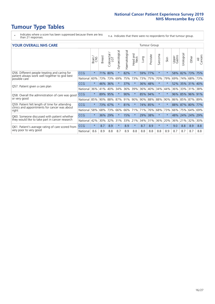- \* Indicates where a score has been suppressed because there are less than 21 responses.
- n.a. Indicates that there were no respondents for that tumour group.

#### **YOUR OVERALL NHS CARE** THE TWO CONTROLLER THE THE THROUP CHANGE THE TUMOUR GROUP

|            | Brain   | <b>Breast</b> | Colorectal<br>LGT | Gynaecological    | Haematological | Head and<br>Neck | Lung           | Prostate | Sarcoma                                  | Skin    | Upper<br>Gastro | Urologica | Other      | All<br>Cancers                                              |  |  |  |  |  |
|------------|---------|---------------|-------------------|-------------------|----------------|------------------|----------------|----------|------------------------------------------|---------|-----------------|-----------|------------|-------------------------------------------------------------|--|--|--|--|--|
| <b>CCG</b> | $\star$ | 71%           | 80%               | $\star$           | 82%            | $\ast$           | 59%            | 77%      | $\star$                                  | $\star$ | 58%             | 82%       | 73%        | 75%                                                         |  |  |  |  |  |
| National   | 60%     |               | 73%               | 69%               |                |                  | 73%            | 75%      | 70%                                      | 79%     | 69%             | 74%       | 68%        | 73%                                                         |  |  |  |  |  |
| <b>CCG</b> | $\star$ | 46%           | 36%               |                   | 37%            | $\star$          |                |          | $\star$                                  | $\star$ |                 |           |            |                                                             |  |  |  |  |  |
| National   | 36%     | 41%           | 40%               | 34%               | 36%            | 39%              | 36%            | 40%      | 34%                                      | 44%     | 36%             | 33%       | 31%        | 38%                                                         |  |  |  |  |  |
| <b>CCG</b> | $\star$ | 89%           | 95%               |                   | 90%            | $\ast$           |                |          | $\star$                                  | $\star$ | 96%             |           |            | 91%                                                         |  |  |  |  |  |
| National   | 85%     | 90%           | 88%               | 87%               | 91%            | 90%              |                |          | 88%                                      | 90%     |                 |           |            | 89%                                                         |  |  |  |  |  |
| <b>CCG</b> | $\star$ |               |                   | $\star$           | 81%            | $\star$          |                |          | $\star$                                  | $\star$ |                 |           |            | 77%                                                         |  |  |  |  |  |
| National   | 58%     | 68%           | 73%               | 66%               | 66%            | 71%              | 71%            | 76%      | 68%                                      | 73%     | 66%             | 75%       | 64%        | 69%                                                         |  |  |  |  |  |
| <b>CCG</b> | $\star$ | 36%           | 29%               |                   | 15%            | $\star$          | 29%            | 38%      | $\star$                                  | $\star$ | 48%             |           |            | 29%                                                         |  |  |  |  |  |
| National   | 42%     | 30%           | 32%               | 31%               | 33%            |                  | 34%            | 31%      | 36%                                      | 20%     | 36%             | 21%       | 32%        | 30%                                                         |  |  |  |  |  |
| <b>CCG</b> | $\star$ | 8.7           | 8.9               | $\star$           | 8.9            | $\ast$           | 8.7            | 8.9      | $\star$                                  | $\ast$  | 9.0             | 8.8       | 8.9        | 8.8                                                         |  |  |  |  |  |
| National   | 8.6     | 8.9           | 8.8               | 8.7               | 8.9            | 8.8              | 8.8            | 8.8      | 8.8                                      | 8.9     | 8.7             | 8.7       | 8.7        | 8.8                                                         |  |  |  |  |  |
|            |         |               |                   | 73%<br>73%<br>67% |                |                  | 75% 73%<br>21% |          | 36% 48%<br>85% 94%<br>90% 88%<br>74% 85% |         |                 |           | 85%<br>24% | 52% 35% 31% 40%<br>96%<br>86% 85% 87%<br>88% 87% 80%<br>24% |  |  |  |  |  |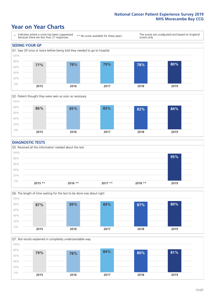### **Year on Year Charts**





#### **DIAGNOSTIC TESTS**





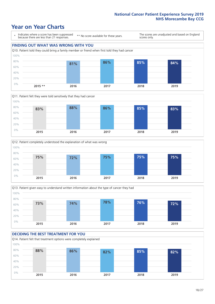### **Year on Year Charts**

\* Indicates where a score has been suppressed because there are less than 21 responses. \*\* No score available for these years. The scores are unadjusted and based on England scores only. **FINDING OUT WHAT WAS WRONG WITH YOU** Q10. Patient told they could bring a family member or friend when first told they had cancer 0% 20% 40% 60% 80% 100% **2015 \*\* 2016 2017 2018 2019 81% 86% 85% 84%**







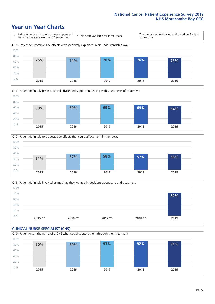### **Year on Year Charts**







Q18. Patient definitely involved as much as they wanted in decisions about care and treatment  $0%$ 20% 40% 60% 80% 100% **2015 \*\* 2016 \*\* 2017 \*\* 2018 \*\* 2019 82%**

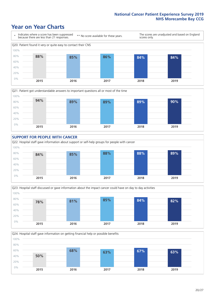### **Year on Year Charts**









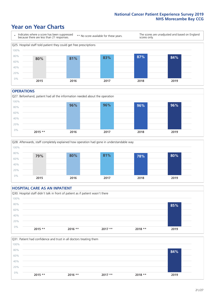### **Year on Year Charts**



#### **OPERATIONS**





#### **HOSPITAL CARE AS AN INPATIENT** Q30. Hospital staff didn't talk in front of patient as if patient wasn't there 0% 20% 40% 60% 80% 100% **2015 \*\* 2016 \*\* 2017 \*\* 2018 \*\* 2019 85%**

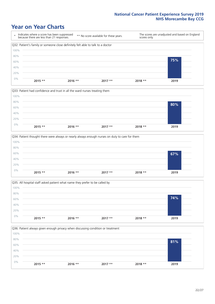### **Year on Year Charts**









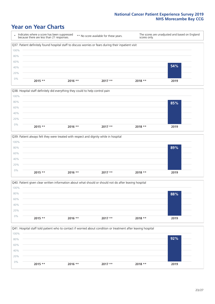### **Year on Year Charts**









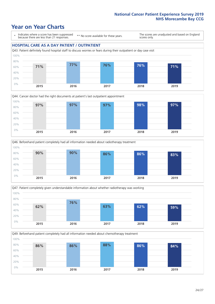### **Year on Year Charts**

\* Indicates where a score has been suppressed because there are less than 21 responses.

\*\* No score available for these years.

The scores are unadjusted and based on England scores only.

#### **HOSPITAL CARE AS A DAY PATIENT / OUTPATIENT**









Q49. Beforehand patient completely had all information needed about chemotherapy treatment 100%

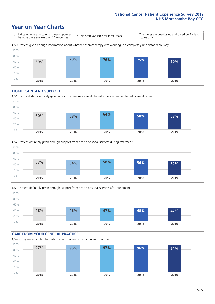### **Year on Year Charts**



#### **HOME CARE AND SUPPORT**







#### **CARE FROM YOUR GENERAL PRACTICE** Q54. GP given enough information about patient's condition and treatment 0% 20% 40% 60% 80% 100% **2015 2016 2017 2018 2019 97% 96% 97% 96% 94%**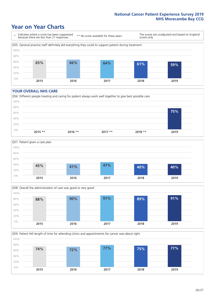### **Year on Year Charts**

\* Indicates where a score has been suppressed because there are less than 21 responses.

\*\* No score available for these years.

The scores are unadjusted and based on England scores only.



#### **YOUR OVERALL NHS CARE**







Q59. Patient felt length of time for attending clinics and appointments for cancer was about right